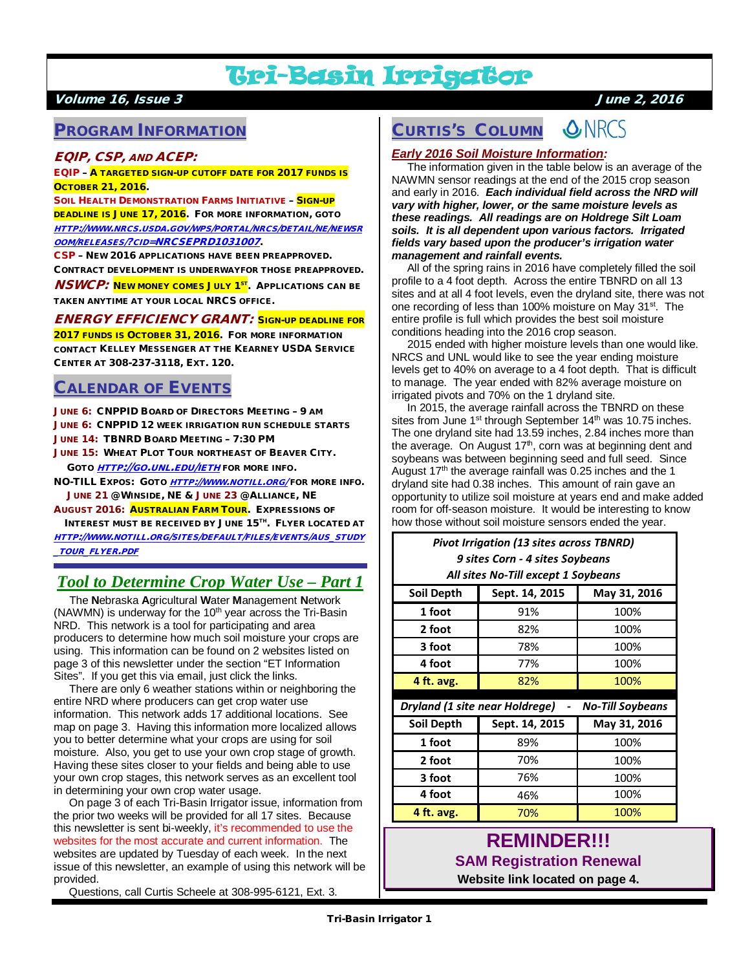# Tri-Basin Irrigator

### Volume 16, Issue 3 June 2, 2016

## PROGRAM INFORMATION

#### EQIP, CSP, AND ACEP:

EQIP – A TARGETED SIGN-UP CUTOFF DATE FOR 2017 FUNDS IS OCTOBER 21, 2016.

SOIL HEALTH DEMONSTRATION FARMS INITIATIVE - SIGN-UP DEADLINE IS JUNE 17, 2016. FOR MORE INFORMATION, GOTO [HTTP://WWW.NRCS.USDA.GOV/WPS/PORTAL/NRCS/DETAIL/NE/NEWSR](http://www.nrcs.usda.gov/wps/portal/nrcs/detail/ne/newsroom/releases/?cid=NRCSEPRD1031007) [OOM/RELEASES/?CID=NRCSEPRD1031007](http://www.nrcs.usda.gov/wps/portal/nrcs/detail/ne/newsroom/releases/?cid=NRCSEPRD1031007).

CSP – NEW 2016 APPLICATIONS HAVE BEEN PREAPPROVED. CONTRACT DEVELOPMENT IS UNDERWAYFOR THOSE PREAPPROVED.

**NSWCP:** NEW MONEY COMES JULY 1<sup>ST</sup>. APPLICATIONS CAN BE TAKEN ANYTIME AT YOUR LOCAL NRCS OFFICE.

ENERGY EFFICIENCY GRANT: SIGN-UP DEADLINE FOR 2017 FUNDS IS OCTOBER 31, 2016. FOR MORE INFORMATION

CONTACT KELLEY MESSENGER AT THE KEARNEY USDA SERVICE CENTER AT 308-237-3118, EXT. 120.

## CALENDAR OF EVENTS

JUNE 6: CNPPID BOARD OF DIRECTORS MEETING – 9 AM JUNE 6: CNPPID 12 WEEK IRRIGATION RUN SCHEDULE STARTS JUNE 14: TBNRD BOARD MEETING – 7:30 PM

JUNE 15: WHEAT PLOT TOUR NORTHEAST OF BEAVER CITY. GOTO [HTTP](http://go.unl.edu/ieth)://GO.UNL.EDU/IETH FOR MORE INFO.

NO-TILL EXPOS: GOTO [HTTP://WWW.NOTILL.ORG/](http://www.notill.org/)FOR MORE INFO. JUNE 21 @ WINSIDE, NE & JUNE 23 @ ALLIANCE, NE

AUGUST 2016: AUSTRALIAN FARM TOUR. EXPRESSIONS OF INTEREST MUST BE RECEIVED BY JUNE 15TH. FLYER LOCATED AT

[HTTP://WWW.NOTILL.ORG/SITES/DEFAULT/FILES/EVENTS/AUS\\_STUDY](http://www.notill.org/sites/default/files/events/aus_study_tour_flyer.pdf) [\\_TOUR\\_FLYER.PDF](http://www.notill.org/sites/default/files/events/aus_study_tour_flyer.pdf)

# *Tool to Determine Crop Water Use – Part 1*

 The **N**ebraska **A**gricultural **W**ater **M**anagement **N**etwork (NAWMN) is underway for the  $10<sup>th</sup>$  year across the Tri-Basin NRD. This network is a tool for participating and area producers to determine how much soil moisture your crops are using. This information can be found on 2 websites listed on page 3 of this newsletter under the section "ET Information Sites". If you get this via email, just click the links.

 There are only 6 weather stations within or neighboring the entire NRD where producers can get crop water use information. This network adds 17 additional locations. See map on page 3. Having this information more localized allows you to better determine what your crops are using for soil moisture. Also, you get to use your own crop stage of growth. Having these sites closer to your fields and being able to use your own crop stages, this network serves as an excellent tool in determining your own crop water usage.

 On page 3 of each Tri-Basin Irrigator issue, information from the prior two weeks will be provided for all 17 sites. Because this newsletter is sent bi-weekly, it's recommended to use the websites for the most accurate and current information. The websites are updated by Tuesday of each week. In the next issue of this newsletter, an example of using this network will be provided.

Questions, call Curtis Scheele at 308-995-6121, Ext. 3.

#### **ONRCS** CURTIS'S COLUMN

### *Early 2016 Soil Moisture Information:*

 The information given in the table below is an average of the NAWMN sensor readings at the end of the 2015 crop season and early in 2016. *Each individual field across the NRD will vary with higher, lower, or the same moisture levels as these readings. All readings are on Holdrege Silt Loam soils. It is all dependent upon various factors. Irrigated fields vary based upon the producer's irrigation water management and rainfall events.*

 All of the spring rains in 2016 have completely filled the soil profile to a 4 foot depth. Across the entire TBNRD on all 13 sites and at all 4 foot levels, even the dryland site, there was not one recording of less than 100% moisture on May 31<sup>st</sup>. The entire profile is full which provides the best soil moisture conditions heading into the 2016 crop season.

 2015 ended with higher moisture levels than one would like. NRCS and UNL would like to see the year ending moisture levels get to 40% on average to a 4 foot depth. That is difficult to manage. The year ended with 82% average moisture on irrigated pivots and 70% on the 1 dryland site.

 In 2015, the average rainfall across the TBNRD on these sites from June  $1<sup>st</sup>$  through September  $14<sup>th</sup>$  was 10.75 inches. The one dryland site had 13.59 inches, 2.84 inches more than the average. On August 17<sup>th</sup>, corn was at beginning dent and soybeans was between beginning seed and full seed. Since August  $17<sup>th</sup>$  the average rainfall was 0.25 inches and the 1 dryland site had 0.38 inches. This amount of rain gave an opportunity to utilize soil moisture at years end and make added room for off-season moisture. It would be interesting to know how those without soil moisture sensors ended the year.

### *Pivot Irrigation (13 sites across TBNRD) 9 sites Corn - 4 sites Soybeans All sites No-Till except 1 Soybeans*

| Soil Depth                       | Sept. 14, 2015 | May 31, 2016            |  |
|----------------------------------|----------------|-------------------------|--|
| 1 foot                           | 91%            | 100%                    |  |
| 2 foot                           | 82%            | 100%                    |  |
| 3 foot                           | 78%            | 100%                    |  |
| 4 foot                           | 77%            | 100%                    |  |
| 4 ft. avg.                       | 82%            | 100%                    |  |
|                                  |                |                         |  |
| Dryland (1 site near Holdrege) - |                |                         |  |
|                                  |                | <b>No-Till Soybeans</b> |  |
| Soil Depth                       | Sept. 14, 2015 | May 31, 2016            |  |
| 1 foot                           | 89%            | 100%                    |  |
| 2 foot                           | 70%            | 100%                    |  |
| 3 foot                           | 76%            | 100%                    |  |
| 4 foot                           | 46%            | 100%                    |  |

# **REMINDER!!! SAM Registration Renewal**

**Website link located on page 4.**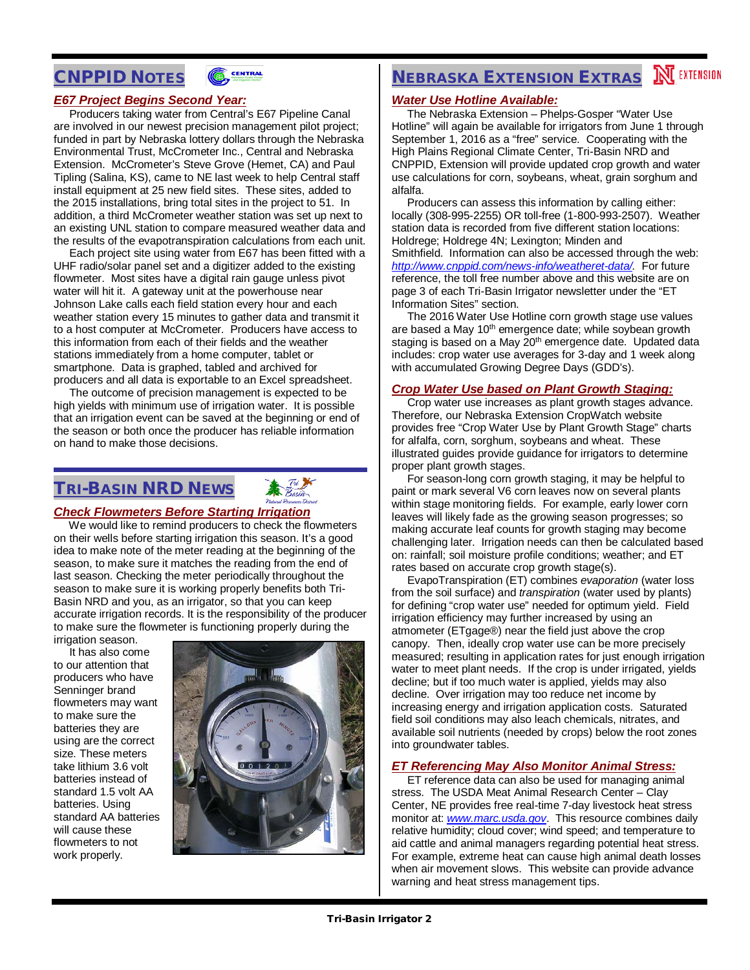# CNPPID NOTES



### *E67 Project Begins Second Year:*

 Producers taking water from Central's E67 Pipeline Canal are involved in our newest precision management pilot project; funded in part by Nebraska lottery dollars through the Nebraska Environmental Trust, McCrometer Inc., Central and Nebraska Extension. McCrometer's Steve Grove (Hemet, CA) and Paul Tipling (Salina, KS), came to NE last week to help Central staff install equipment at 25 new field sites. These sites, added to the 2015 installations, bring total sites in the project to 51. In addition, a third McCrometer weather station was set up next to an existing UNL station to compare measured weather data and the results of the evapotranspiration calculations from each unit.

 Each project site using water from E67 has been fitted with a UHF radio/solar panel set and a digitizer added to the existing flowmeter. Most sites have a digital rain gauge unless pivot water will hit it. A gateway unit at the powerhouse near Johnson Lake calls each field station every hour and each weather station every 15 minutes to gather data and transmit it to a host computer at McCrometer. Producers have access to this information from each of their fields and the weather stations immediately from a home computer, tablet or smartphone. Data is graphed, tabled and archived for producers and all data is exportable to an Excel spreadsheet.

 The outcome of precision management is expected to be high yields with minimum use of irrigation water. It is possible that an irrigation event can be saved at the beginning or end of the season or both once the producer has reliable information on hand to make those decisions.

## TRI-BASIN NRD NEWS

### *Check Flowmeters Before Starting Irrigation*

We would like to remind producers to check the flowmeters on their wells before starting irrigation this season. It's a good idea to make note of the meter reading at the beginning of the season, to make sure it matches the reading from the end of last season. Checking the meter periodically throughout the season to make sure it is working properly benefits both Tri-Basin NRD and you, as an irrigator, so that you can keep accurate irrigation records. It is the responsibility of the producer to make sure the flowmeter is functioning properly during the irrigation season.

 It has also come to our attention that producers who have Senninger brand flowmeters may want to make sure the batteries they are using are the correct size. These meters take lithium 3.6 volt batteries instead of standard 1.5 volt AA batteries. Using standard AA batteries will cause these flowmeters to not work properly.



# **NEBRASKA EXTENSION EXTRAS IN EXTENSION**

#### *Water Use Hotline Available:*

 The Nebraska Extension – Phelps-Gosper "Water Use Hotline" will again be available for irrigators from June 1 through September 1, 2016 as a "free" service. Cooperating with the High Plains Regional Climate Center, Tri-Basin NRD and CNPPID, Extension will provide updated crop growth and water use calculations for corn, soybeans, wheat, grain sorghum and alfalfa.

 Producers can assess this information by calling either: locally (308-995-2255) OR toll-free (1-800-993-2507). Weather station data is recorded from five different station locations: Holdrege; Holdrege 4N; Lexington; Minden and Smithfield. Information can also be accessed through the web: *[http://www.cnppid.com/news-info/weatheret-data/.](http://www.cnppid.com/news-info/weatheret-data/)* For future reference, the toll free number above and this website are on page 3 of each Tri-Basin Irrigator newsletter under the "ET Information Sites" section.

 The 2016 Water Use Hotline corn growth stage use values are based a May 10<sup>th</sup> emergence date; while soybean growth staging is based on a May 20<sup>th</sup> emergence date. Updated data includes: crop water use averages for 3-day and 1 week along with accumulated Growing Degree Days (GDD's).

#### *Crop Water Use based on Plant Growth Staging:*

 Crop water use increases as plant growth stages advance. Therefore, our Nebraska Extension CropWatch website provides free "Crop Water Use by Plant Growth Stage" charts for alfalfa, corn, sorghum, soybeans and wheat. These illustrated guides provide guidance for irrigators to determine proper plant growth stages.

 For season-long corn growth staging, it may be helpful to paint or mark several V6 corn leaves now on several plants within stage monitoring fields. For example, early lower corn leaves will likely fade as the growing season progresses; so making accurate leaf counts for growth staging may become challenging later. Irrigation needs can then be calculated based on: rainfall; soil moisture profile conditions; weather; and ET rates based on accurate crop growth stage(s).

 EvapoTranspiration (ET) combines *evaporation* (water loss from the soil surface) and *transpiration* (water used by plants) for defining "crop water use" needed for optimum yield. Field irrigation efficiency may further increased by using an atmometer (ETgage®) near the field just above the crop canopy. Then, ideally crop water use can be more precisely measured; resulting in application rates for just enough irrigation water to meet plant needs. If the crop is under irrigated, yields decline; but if too much water is applied, yields may also decline. Over irrigation may too reduce net income by increasing energy and irrigation application costs. Saturated field soil conditions may also leach chemicals, nitrates, and available soil nutrients (needed by crops) below the root zones into groundwater tables.

#### *ET Referencing May Also Monitor Animal Stress:*

 ET reference data can also be used for managing animal stress. The USDA Meat Animal Research Center – Clay Center, NE provides free real-time 7-day livestock heat stress monitor at: *[www.marc.usda.gov](http://www.marc.usda.gov/)*. This resource combines daily relative humidity; cloud cover; wind speed; and temperature to aid cattle and animal managers regarding potential heat stress. For example, extreme heat can cause high animal death losses when air movement slows. This website can provide advance warning and heat stress management tips.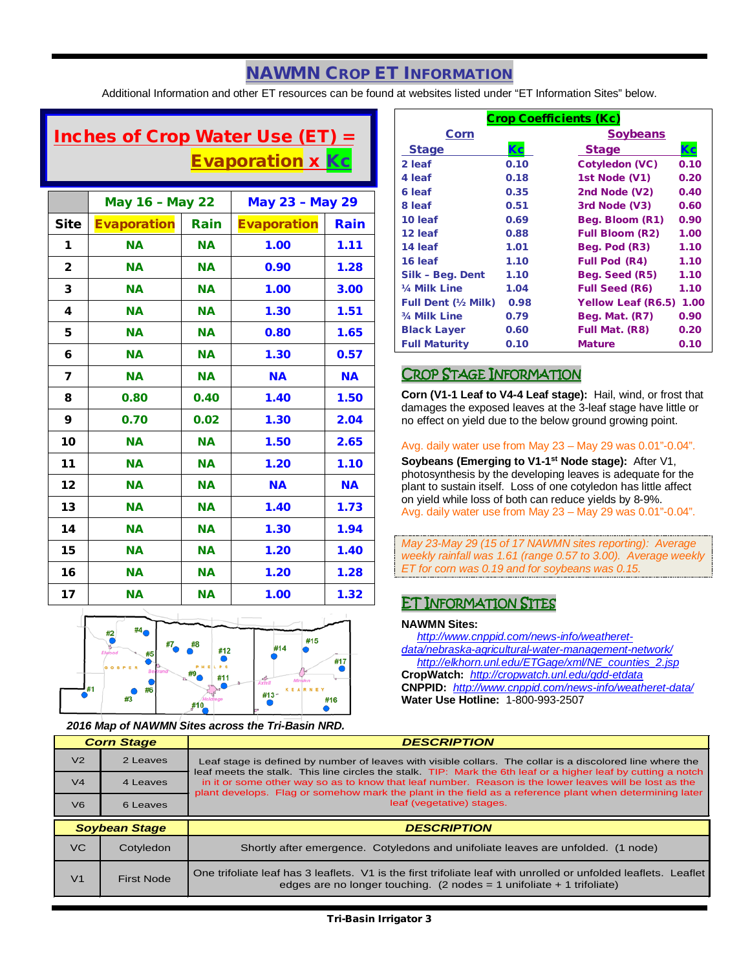# NAWMN CROP ET INFORMATION

Additional Information and other ET resources can be found at websites listed under "ET Information Sites" below.

# Inches of Crop Water Use (ET) = **Evaporation x Kc**

|                | <b>May 16 - May 22</b> |           | May 23 - May 29    |           |
|----------------|------------------------|-----------|--------------------|-----------|
| <b>Site</b>    | <b>Evaporation</b>     | Rain      | <b>Evaporation</b> | Rain      |
| 1              | <b>NA</b>              | <b>NA</b> | 1.00               | 1.11      |
| $\overline{2}$ | <b>NA</b>              | <b>NA</b> | 0.90               | 1.28      |
| 3              | <b>NA</b>              | <b>NA</b> | 1.00               | 3.00      |
| 4              | <b>NA</b>              | <b>NA</b> | 1.30               | 1.51      |
| 5              | <b>NA</b>              | <b>NA</b> | 0.80               | 1.65      |
| 6              | <b>NA</b>              | <b>NA</b> | 1.30               | 0.57      |
| 7              | <b>NA</b>              | <b>NA</b> | <b>NA</b>          | <b>NA</b> |
| 8              | 0.80                   | 0.40      | 1.40               | 1.50      |
| 9              | 0.70                   | 0.02      | 1.30               | 2.04      |
| 10             | <b>NA</b>              | <b>NA</b> | 1.50               | 2.65      |
| 11             | <b>NA</b>              | <b>NA</b> | 1.20               | 1.10      |
| 12             | <b>NA</b>              | <b>NA</b> | <b>NA</b>          | <b>NA</b> |
| 13             | <b>NA</b>              | <b>NA</b> | 1.40               | 1.73      |
| 14             | <b>NA</b>              | <b>NA</b> | 1.30               | 1.94      |
| 15             | <b>NA</b>              | <b>NA</b> | 1.20               | 1.40      |
| 16             | <b>NA</b>              | <b>NA</b> | 1.20               | 1.28      |
| 17             | <b>NA</b>              | <b>NA</b> | 1.00               | 1.32      |



*2016 Map of NAWMN Sites across the Tri-Basin NRD.*

| <b>Crop Coefficients (Kc)</b> |      |                           |      |
|-------------------------------|------|---------------------------|------|
| Corn                          |      | <b>Soybeans</b>           |      |
| <b>Stage</b>                  | Kc   | <b>Stage</b>              | Кc   |
| 2 leaf                        | 0.10 | <b>Cotyledon (VC)</b>     | 0.10 |
| 4 leaf                        | 0.18 | 1st Node (V1)             | 0.20 |
| 6 leaf                        | 0.35 | 2nd Node (V2)             | 0.40 |
| 8 leaf                        | 0.51 | 3rd Node (V3)             | 0.60 |
| 10 leaf                       | 0.69 | Beg. Bloom (R1)           | 0.90 |
| 12 leaf                       | 0.88 | <b>Full Bloom (R2)</b>    | 1.00 |
| 14 leaf                       | 1.01 | Beg. Pod (R3)             | 1.10 |
| 16 leaf                       | 1.10 | <b>Full Pod (R4)</b>      | 1.10 |
| Silk - Beg. Dent              | 1.10 | Beg. Seed (R5)            | 1.10 |
| 1/4 Milk Line                 | 1.04 | <b>Full Seed (R6)</b>     | 1.10 |
| <b>Full Dent (1/2 Milk)</b>   | 0.98 | <b>Yellow Leaf (R6.5)</b> | 1.00 |
| 3/4 Milk Line                 | 0.79 | Beg. Mat. (R7)            | 0.90 |
| <b>Black Layer</b>            | 0.60 | Full Mat. (R8)            | 0.20 |
| <b>Full Maturity</b>          | 0.10 | <b>Mature</b>             | 0.10 |

### CROP STAGE INFORMATION

**Corn (V1-1 Leaf to V4-4 Leaf stage):** Hail, wind, or frost that damages the exposed leaves at the 3-leaf stage have little or no effect on yield due to the below ground growing point.

### Avg. daily water use from May 23 – May 29 was 0.01"-0.04".

**Soybeans (Emerging to V1-1st Node stage):** After V1, photosynthesis by the developing leaves is adequate for the plant to sustain itself. Loss of one cotyledon has little affect on yield while loss of both can reduce yields by 8-9%. Avg. daily water use from May 23 – May 29 was 0.01"-0.04".

*May 23-May 29 (15 of 17 NAWMN sites reporting): Average weekly rainfall was 1.61 (range 0.57 to 3.00). Average weekly ET for corn was 0.19 and for soybeans was 0.15.*

### ET INFORMATION SITES

#### **NAWMN Sites:**

 *[http://www.cnppid.com/news-info/weatheret](http://www.cnppid.com/news-info/weatheret-data/nebraska-agricultural-water-management-network/)[data/nebraska-agricultural-water-management-network/](http://www.cnppid.com/news-info/weatheret-data/nebraska-agricultural-water-management-network/) [http://elkhorn.unl.edu/ETGage/xml/NE\\_counties\\_2.jsp](http://elkhorn.unl.edu/ETGage/xml/NE_counties_2.jsp)*

**CropWatch:** *<http://cropwatch.unl.edu/gdd-etdata>* **CNPPID:** *<http://www.cnppid.com/news-info/weatheret-data/>* **Water Use Hotline:** 1-800-993-2507

|                | <b>Corn Stage</b>    | <b>DESCRIPTION</b>                                                                                                                                                                                                                                                                                                                 |  |
|----------------|----------------------|------------------------------------------------------------------------------------------------------------------------------------------------------------------------------------------------------------------------------------------------------------------------------------------------------------------------------------|--|
| V <sub>2</sub> | 2 Leaves             | Leaf stage is defined by number of leaves with visible collars. The collar is a discolored line where the                                                                                                                                                                                                                          |  |
| V <sub>4</sub> | 4 Leaves             | leaf meets the stalk. This line circles the stalk. TIP: Mark the 6th leaf or a higher leaf by cutting a notch<br>in it or some other way so as to know that leaf number. Reason is the lower leaves will be lost as the<br>plant develops. Flag or somehow mark the plant in the field as a reference plant when determining later |  |
| V <sub>6</sub> | 6 Leaves             | leaf (vegetative) stages.                                                                                                                                                                                                                                                                                                          |  |
|                |                      |                                                                                                                                                                                                                                                                                                                                    |  |
|                | <b>Soybean Stage</b> | <b>DESCRIPTION</b>                                                                                                                                                                                                                                                                                                                 |  |
| VC.            | Cotyledon            | Shortly after emergence. Cotyledons and unifoliate leaves are unfolded. (1 node)                                                                                                                                                                                                                                                   |  |